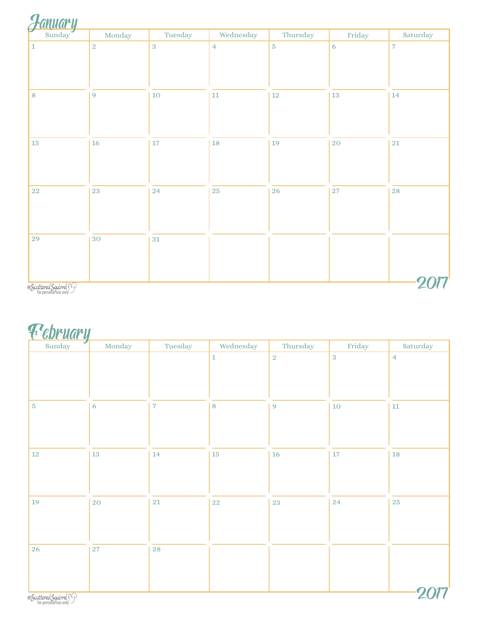| $\overline{2}$<br>$\sqrt{3}$<br>$\overline{7}$<br>$\overline{4}$<br>$\sqrt{5}$<br>$\mathbf 1$<br>$\overline{6}$<br>10<br>$12\,$<br>9<br>$13\,$<br>$14\,$<br>$\bf 8$<br>$11\,$<br>19<br>$16\,$<br>20<br>$15\,$<br>17<br>$18\,$<br>$21\,$<br>23<br>24<br>$\bf 25$<br>${\bf 26}$<br>${\bf 28}$<br>$27\,$ | <b>anuary</b><br>Sunday | Monday | Tuesday | Wednesday | Thursday | Friday | Saturday |
|-------------------------------------------------------------------------------------------------------------------------------------------------------------------------------------------------------------------------------------------------------------------------------------------------------|-------------------------|--------|---------|-----------|----------|--------|----------|
|                                                                                                                                                                                                                                                                                                       |                         |        |         |           |          |        |          |
|                                                                                                                                                                                                                                                                                                       |                         |        |         |           |          |        |          |
|                                                                                                                                                                                                                                                                                                       |                         |        |         |           |          |        |          |
|                                                                                                                                                                                                                                                                                                       | $22\,$                  |        |         |           |          |        |          |
| 30<br>29<br>$31\,$                                                                                                                                                                                                                                                                                    |                         |        |         |           |          |        |          |

#### February

| <b>13</b>   | $\overline{\mathbf{7}}$ | $\mathbf 1$<br>$\, 8$ | $\sqrt{2}$<br>9 | $\overline{3}$<br>$10\,$ | $\overline{4}$<br>${\bf 11}$ |
|-------------|-------------------------|-----------------------|-----------------|--------------------------|------------------------------|
|             |                         |                       |                 |                          |                              |
|             |                         |                       |                 |                          |                              |
|             |                         |                       |                 |                          |                              |
|             |                         |                       |                 |                          |                              |
|             | 14                      | $15\,$                | 16              | $17\,$                   | <b>18</b>                    |
| 20          | 21                      | 22                    | $\sqrt{23}$     | 24                       | 25                           |
|             |                         |                       |                 |                          |                              |
| $\sqrt{27}$ | <b>28</b>               |                       |                 |                          |                              |
|             |                         |                       |                 |                          |                              |
|             |                         |                       |                 |                          |                              |

ٔ Scattered Squirrel<br>for personal use only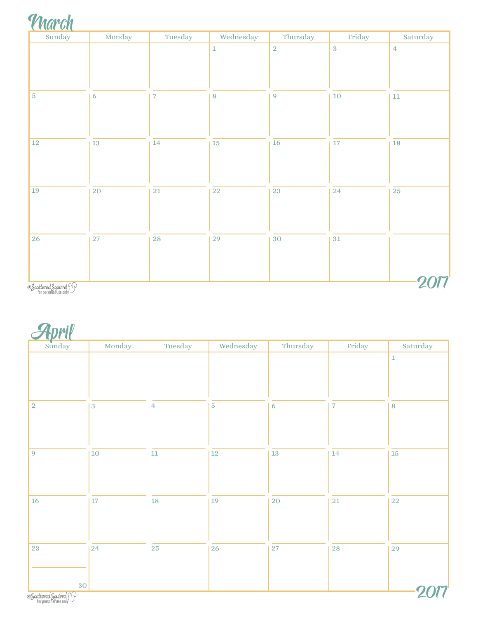| <b>NGY</b><br>$\sqrt{ }$ |
|--------------------------|
|                          |

| Sunday                | Monday          | Tuesday                  | Wednesday   | Thursday       | Friday     | Saturday       |
|-----------------------|-----------------|--------------------------|-------------|----------------|------------|----------------|
|                       |                 |                          | $\mathbf 1$ | $\overline{2}$ | $\sqrt{3}$ | $\overline{4}$ |
|                       |                 |                          |             |                |            |                |
|                       |                 |                          |             |                |            |                |
| $\sqrt{5}$            | $\sqrt{6}$      | $\overline{\phantom{a}}$ | $\bf 8$     | 9              | $10\,$     | $11\,$         |
|                       |                 |                          |             |                |            |                |
|                       |                 |                          |             |                |            |                |
| $12\,$                | $\overline{13}$ | $\overline{14}$          | 15          | 16             | $17\,$     | ${\bf 18}$     |
|                       |                 |                          |             |                |            |                |
|                       |                 |                          |             |                |            |                |
| 19                    | $20\,$          | $21\,$                   | ${\bf 22}$  | 23             | 24         | 25             |
|                       |                 |                          |             |                |            |                |
|                       |                 |                          |             |                |            |                |
| 26                    | $\sqrt{27}$     | 28                       | 29          | $30\,$         | $31\,$     |                |
|                       |                 |                          |             |                |            |                |
|                       |                 |                          |             |                |            |                |
| Scattered Squirrel 50 |                 |                          |             |                |            |                |

<sup>:</sup> Scattered Squirrel<br>for personal use only

April

| Sunday                | Monday         | Tuesday        | Wednesday      | Thursday   | Friday         | Saturday    |
|-----------------------|----------------|----------------|----------------|------------|----------------|-------------|
|                       |                |                |                |            |                | $\mathbf 1$ |
|                       |                |                |                |            |                |             |
|                       |                |                |                |            |                |             |
| $\sqrt{2}$            | $\overline{3}$ | $\overline{4}$ | $\overline{5}$ | 6          | $\overline{7}$ | 8           |
|                       |                |                |                |            |                |             |
|                       |                |                |                |            |                |             |
| $\overline{9}$        | 10             | $11\,$         | $12\,$         | ${\bf 13}$ | 14             | $15\,$      |
|                       |                |                |                |            |                |             |
|                       |                |                |                |            |                |             |
| 16                    | 17             | 18             | $ 19\rangle$   | 20         | $21\,$         | ${\bf 22}$  |
|                       |                |                |                |            |                |             |
|                       |                |                |                |            |                |             |
| $\sqrt{23}$           | 24             | ${\bf 25}$     | 26             | $27\,$     | <b>28</b>      | 29          |
|                       |                |                |                |            |                |             |
| 30                    |                |                |                |            |                |             |
| Scattered Squirrel 50 |                |                |                |            |                |             |

<sup>:</sup> Scattered Squirrel<br>for personal use only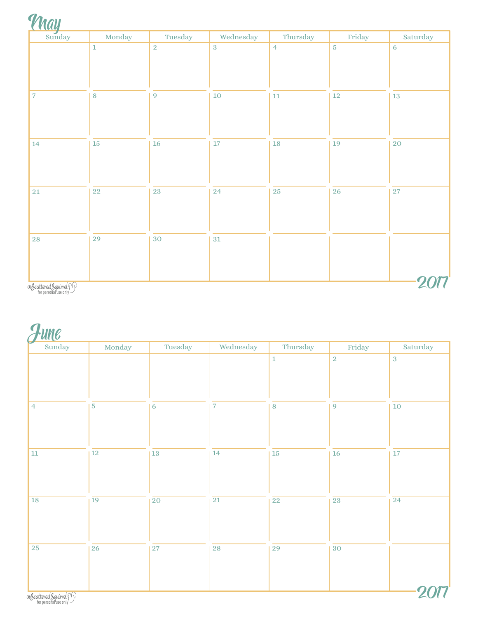| Sunday         | Monday  | Tuesday        | Wednesday      | Thursday       | Friday         | Saturday    |
|----------------|---------|----------------|----------------|----------------|----------------|-------------|
|                | $\,1\,$ | $\overline{2}$ | $\overline{3}$ | $\overline{4}$ | $\overline{5}$ | 6           |
| $\overline{7}$ | $\, 8$  | 9              | $10\,$         | $11\,$         | $12\,$         | $13\,$      |
| 14             | $15\,$  | $16\,$         | $17\,$         | $18\,$         | 19             | 20          |
| $\bf 21$       | $22\,$  | 23             | 24             | <b>25</b>      | 26             | $\sqrt{27}$ |
| 28             | 29      | 30             | $31\,$         |                |                |             |

ٔ Scattered Squirrel<br>for personal use only

June

| $\overline{\phantom{a}}$<br>Sunday | Monday          | Tuesday         | Wednesday       | Thursday        | Friday          | Saturday        |
|------------------------------------|-----------------|-----------------|-----------------|-----------------|-----------------|-----------------|
|                                    |                 |                 |                 | $\,1\,$         | $\overline{2}$  | $\overline{3}$  |
|                                    |                 |                 |                 |                 |                 |                 |
| $\overline{4}$                     | $\overline{5}$  | 6               | $\overline{7}$  | 8               | 9               | $10\,$          |
|                                    |                 |                 |                 |                 |                 |                 |
| $11\,$                             | $12\,$          | $13\,$          | $14\,$          | ${\bf 15}$      | 16              | $17\,$          |
|                                    |                 |                 |                 |                 |                 |                 |
| $\overline{18}$                    | $\overline{19}$ | $\overline{20}$ | $\overline{21}$ | $\overline{22}$ | $\overline{23}$ | $\overline{24}$ |
|                                    |                 |                 |                 |                 |                 |                 |
| 25                                 | <b>26</b>       | $27\,$          | ${\bf 28}$      | ${\bf 29}$      | $30\,$          |                 |
|                                    |                 |                 |                 |                 |                 |                 |
| Scattered Squirrel 50              |                 |                 |                 |                 |                 |                 |

<sup>:</sup> Scattered Squirrel<br>for personal use only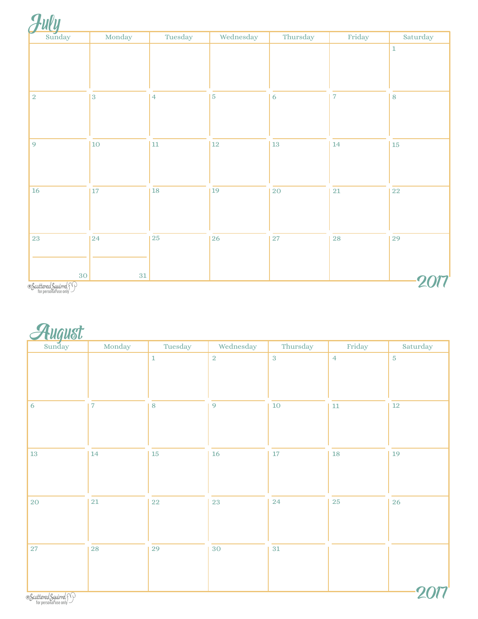| Sunday          | Monday       | Tuesday         | Wednesday  | Thursday  | Friday                  | Saturday    |
|-----------------|--------------|-----------------|------------|-----------|-------------------------|-------------|
|                 |              |                 |            |           |                         | $\mathbf 1$ |
| $\sqrt{2}$      | $\,3$        | $\vert 4 \vert$ | $\sqrt{5}$ | 6         | $\overline{\mathbf{7}}$ | $\bf 8$     |
| 9               | $ 10\rangle$ | $11$            | $12\,$     | $13\,$    | $14\,$                  | $15\,$      |
| $16\,$          | 17           | 18              | 19         | <b>20</b> | 21                      | $\bf 22$    |
| 23              | 24           | 25              | <b>26</b>  | $27\,$    | <b>28</b>               | 29          |
| 30 <sup>°</sup> | $31\,$       |                 |            |           |                         |             |

\* Scattered Squirrel<br>for personal use only

**August** 

| Sunday                | Monday                   | Tuesday     | Wednesday      | Thursday   | Friday         | Saturday   |
|-----------------------|--------------------------|-------------|----------------|------------|----------------|------------|
|                       |                          | $\mathbf 1$ | $\overline{2}$ | $\sqrt{3}$ | $\overline{4}$ | $\sqrt{5}$ |
|                       |                          |             |                |            |                |            |
|                       |                          |             |                |            |                |            |
| $\sqrt{6}$            | $\overline{\phantom{a}}$ | $\, 8$      | 9              | $10\,$     | $11\,$         | $12\,$     |
|                       |                          |             |                |            |                |            |
|                       |                          |             |                |            |                |            |
| $13\,$                | 14                       | $15\,$      | 16             | $17\,$     | $18\,$         | 19         |
|                       |                          |             |                |            |                |            |
|                       |                          |             |                |            |                |            |
| 20                    | 21                       | $22\,$      | $\sqrt{23}$    | 24         | ${\bf 25}$     | 26         |
|                       |                          |             |                |            |                |            |
|                       |                          |             |                |            |                |            |
| 27                    | 28                       | 29          | $30\,$         | 31         |                |            |
|                       |                          |             |                |            |                |            |
|                       |                          |             |                |            |                |            |
| Scattered Squirrel 50 |                          |             |                |            |                |            |

<sup>:</sup> Scattered Squirrel<br>for personal use only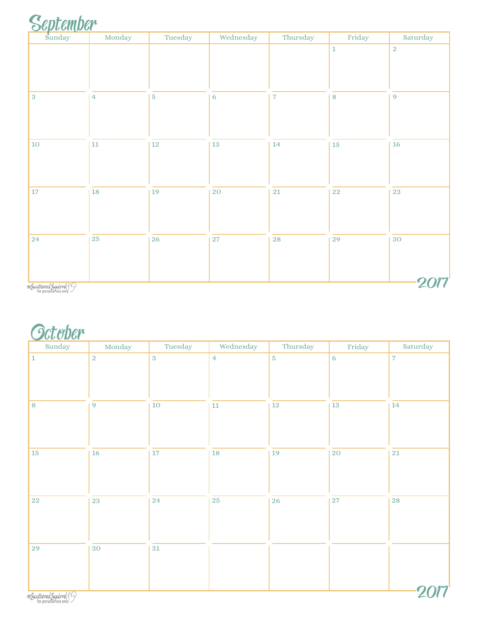# September

| --<br>Sunday<br>$\sim$ | Monday         | Tuesday        | Wednesday | Thursday       | Friday  | Saturday       |
|------------------------|----------------|----------------|-----------|----------------|---------|----------------|
|                        |                |                |           |                | $\,1\,$ | $\overline{2}$ |
|                        |                |                |           |                |         |                |
|                        |                |                |           |                |         |                |
|                        |                |                |           |                |         |                |
| $\sqrt{3}$             | $\overline{4}$ | $\overline{5}$ | 6         | $\overline{7}$ | $\bf 8$ | $\overline{9}$ |
|                        |                |                |           |                |         |                |
|                        |                |                |           |                |         |                |
| $10\,$                 | $11\,$         | $12\,$         | 13        | 14             | $15\,$  | $16\,$         |
|                        |                |                |           |                |         |                |
|                        |                |                |           |                |         |                |
|                        |                |                |           |                |         |                |
| $17\,$                 | 18             | 19             | 20        | $21\,$         | $22\,$  | 23             |
|                        |                |                |           |                |         |                |
|                        |                |                |           |                |         |                |
|                        |                |                |           |                |         |                |
| 24                     | $25\,$         | 26             | <b>27</b> | ${\bf 28}$     | 29      | 30             |
|                        |                |                |           |                |         |                |
|                        |                |                |           |                |         |                |
|                        |                |                |           |                |         |                |
| Scattered Squirrel 50  |                |                |           |                |         |                |

Scattered Squirrel<br>for personal use only

### **Octeber**

| $\sim$ $\sim$ $\sim$ $\sim$ $\sim$<br>Sunday | Monday     | Tuesday    | Wednesday      | Thursday       | Friday      | Saturday       |
|----------------------------------------------|------------|------------|----------------|----------------|-------------|----------------|
| $\vert$ 1                                    | $\sqrt{2}$ | $\sqrt{3}$ | $\overline{4}$ | $\overline{5}$ | $\sqrt{6}$  | $\overline{7}$ |
| 8                                            | 9          | $10\,$     | $11\,$         | $12\,$         | $13\,$      | 14             |
| 15                                           | 16         | 17         | $18\,$         | $19\,$         | $20\,$      | $\bf 21$       |
| <b>22</b>                                    | 23         | 24         | 25             | 26             | $\sqrt{27}$ | <b>28</b>      |
| 29                                           | 30         | $31\,$     |                |                |             |                |
| Scattered Squirrel 50                        |            |            |                |                |             |                |

\* Scattered Squirrel&<br>for personal use only